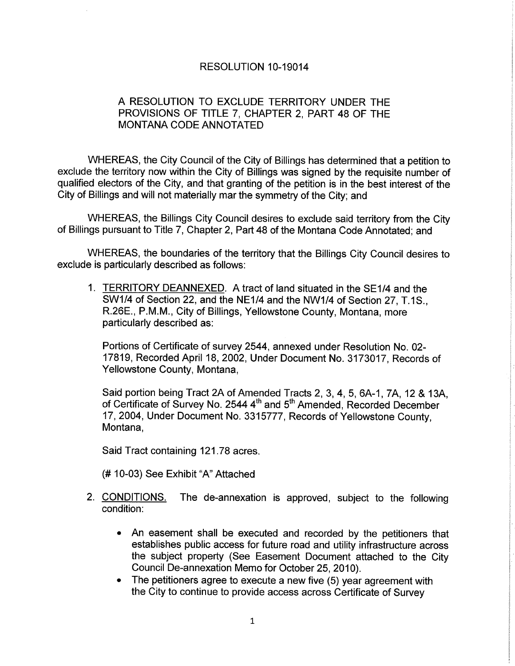## RESOLUTION 10-19014

## A RESOLUTION TO EXCLUDE TERRITORY UNDER THE PROVISIONS OF TITLE 7, CHAPTER 2, PART 48 OF THE MONTANA CODE ANNOTATED

WHEREAS, the City Council of the City of Billings has determined that a petition to exclude the territory now within the City of Billings was signed by the requisite number of qualified electors of the City, and that granting of the petition is in the best interest of the City of Billings and will not materially mar the symmetry of the City; and

WHEREAS, the Billings City Council desires to exclude said territory from the City of Billings pursuant to Title 7, Chapter 2, Part48 of the Montana Code Annotated; and

WHEREAS, the boundaries of the territory that the Billings City Council desires to exclude is particularly described as follows:

1. TERRITORY DEANNEXED. A tract of land situated in the SE1/4 and the SW1/4 of Section 22, and the NE1/4 and the NW1/4 of Section 27, T.1S., R.26E., P.M.M., City of Billings, Yellowstone County, Montana, more particularly described as:

Portions of Certificate of survey 2544, annexed under Resolution No. 02- 17819, Recorded April 18, 2002, Under Document No. 3173017, Records of Yellowstone County, Montana,

Said portion being Tract 2A of Amended Tracts 2, 3, 4, 5, 6A-1, 7A, 12 & 13A, of Certificate of Survey No. 2544 4<sup>th</sup> and 5<sup>th</sup> Amended, Recorded December 17,2004, Under Document No. 331 5777, Records of Yellowstone County, Montana,

Said Tract containing 121.78 acres.

(# 10-03) See Exhibit "A" Attached

- 2. CONDITIONS. The de-annexation is approved, subject to the following condition:
	- An easement shall be executed and recorded by the petitioners that establishes public access for future road and utility infrastructure across the subject property (See Easement Document attached to the City Council De-annexation Memo for October 25,2010).
	- . The petitioners agree to execute a new five (5) year agreement with the City to continue to provide access across Certificate of Survey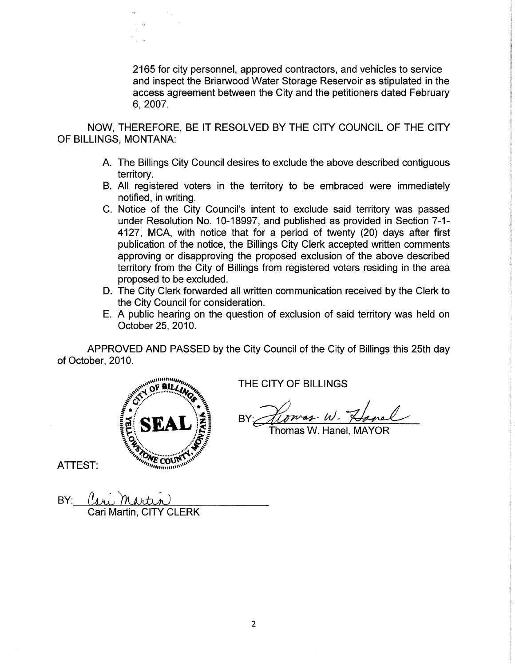2165 for city personnel, approved contractors, and vehicles to service and inspect the Briarwood Water Storage Reservoir as stipulated in the access agreement between the City and the petitioners dated February 6,2007.

NOW, THEREFORE, BE IT RESOLVED BY THE CITY COUNCIL OF THE CITY OF BILLINGS, MONTANA:

- A. The Billings City Council desires to exclude the above described contiguous territory.
- B. All registered voters in the territory to be embraced were immediately notified, in writing.
- C. Notice of the City Council's intent to exclude said territory was passed under Resolution No. 10-18997, and published as provided in Section 7-1- 4127, MCA, with notice that for a period of twenty (20) days after first publication of the notice, the Billings City Clerk accepted written comments approving or disapproving the proposed exclusion of the above described territory from the City of Billings from registered voters residing in the area proposed to be excluded.
- D. The City Clerk forwarded all written communication received by the Clerk to the City Council for consideration.
- E. A public hearing on the question of exclusion of said territory was held on October 25,2010.

APPROVED AND PASSED by the City Council of the City of Billings this 25th day of October.2010.



THE CITY OF BILLINGS

Howas W. Hovel BY: Howas W. Hovel

- Thomas W. Hanel. MAYOR

ATTEST:

BY: Cari Martin, CITY CLERK